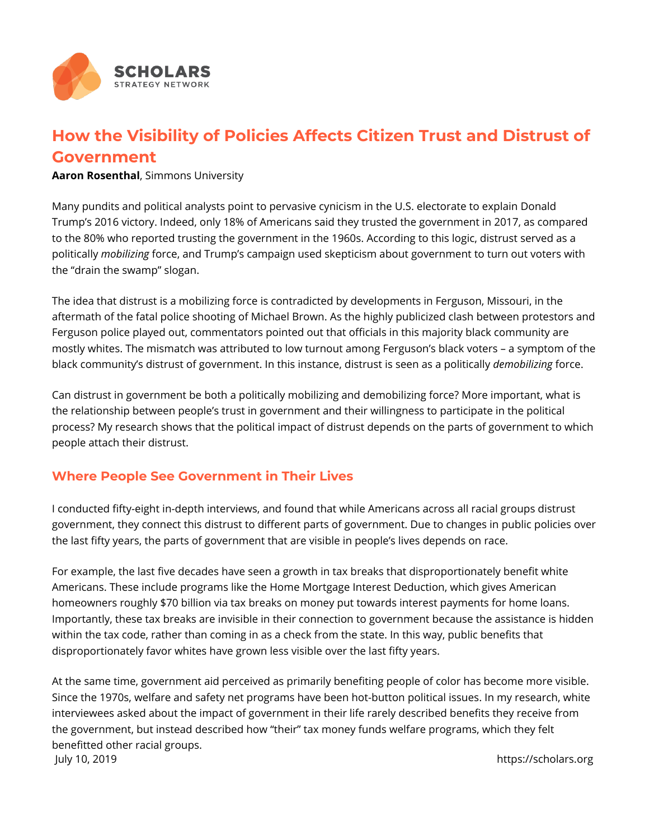

## **How the Visibility of Policies Affects Citizen Trust and Distrust of Government**

**Aaron Rosenthal**, Simmons University

Many pundits and political analysts point to pervasive cynicism in the U.S. electorate to explain Donald Trump's 2016 victory. Indeed, only 18% of Americans said they trusted the government in 2017, as compared to the 80% who reported trusting the government in the 1960s. According to this logic, distrust served as a politically *mobilizing* force, and Trump's campaign used skepticism about government to turn out voters with the "drain the swamp" slogan.

The idea that distrust is a mobilizing force is contradicted by developments in Ferguson, Missouri, in the aftermath of the fatal police shooting of Michael Brown. As the highly publicized clash between protestors and Ferguson police played out, commentators pointed out that officials in this majority black community are mostly whites. The mismatch was attributed to low turnout among Ferguson's black voters – a symptom of the black community's distrust of government. In this instance, distrust is seen as a politically *demobilizing* force.

Can distrust in government be both a politically mobilizing and demobilizing force? More important, what is the relationship between people's trust in government and their willingness to participate in the political process? My research shows that the political impact of distrust depends on the parts of government to which people attach their distrust.

## **Where People See Government in Their Lives**

I conducted fifty-eight in-depth interviews, and found that while Americans across all racial groups distrust government, they connect this distrust to different parts of government. Due to changes in public policies over the last fifty years, the parts of government that are visible in people's lives depends on race.

For example, the last five decades have seen a growth in tax breaks that disproportionately benefit white Americans. These include programs like the Home Mortgage Interest Deduction, which gives American homeowners roughly \$70 billion via tax breaks on money put towards interest payments for home loans. Importantly, these tax breaks are invisible in their connection to government because the assistance is hidden within the tax code, rather than coming in as a check from the state. In this way, public benefits that disproportionately favor whites have grown less visible over the last fifty years.

At the same time, government aid perceived as primarily benefiting people of color has become more visible. Since the 1970s, welfare and safety net programs have been hot-button political issues. In my research, white interviewees asked about the impact of government in their life rarely described benefits they receive from the government, but instead described how "their" tax money funds welfare programs, which they felt benefitted other racial groups. July 10, 2019 https://scholars.org